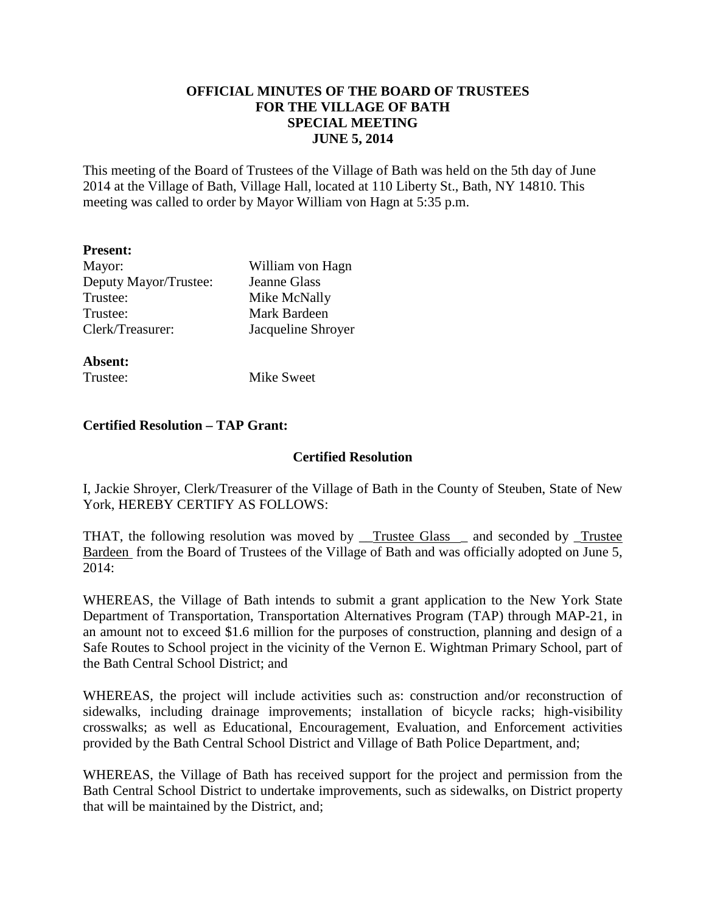## **OFFICIAL MINUTES OF THE BOARD OF TRUSTEES FOR THE VILLAGE OF BATH SPECIAL MEETING JUNE 5, 2014**

This meeting of the Board of Trustees of the Village of Bath was held on the 5th day of June 2014 at the Village of Bath, Village Hall, located at 110 Liberty St., Bath, NY 14810. This meeting was called to order by Mayor William von Hagn at 5:35 p.m.

| <b>Present:</b>       |                     |
|-----------------------|---------------------|
| Mayor:                | William von Hagn    |
| Deputy Mayor/Trustee: | <b>Jeanne Glass</b> |
| Trustee:              | Mike McNally        |
| Trustee:              | Mark Bardeen        |
| Clerk/Treasurer:      | Jacqueline Shroyer  |
|                       |                     |

**Absent:**  Trustee: Mike Sweet

### **Certified Resolution – TAP Grant:**

### **Certified Resolution**

I, Jackie Shroyer, Clerk/Treasurer of the Village of Bath in the County of Steuben, State of New York, HEREBY CERTIFY AS FOLLOWS:

THAT, the following resolution was moved by <u>Trustee Glass</u> and seconded by Trustee Bardeen from the Board of Trustees of the Village of Bath and was officially adopted on June 5, 2014:

WHEREAS, the Village of Bath intends to submit a grant application to the New York State Department of Transportation, Transportation Alternatives Program (TAP) through MAP-21, in an amount not to exceed \$1.6 million for the purposes of construction, planning and design of a Safe Routes to School project in the vicinity of the Vernon E. Wightman Primary School, part of the Bath Central School District; and

WHEREAS, the project will include activities such as: construction and/or reconstruction of sidewalks, including drainage improvements; installation of bicycle racks; high-visibility crosswalks; as well as Educational, Encouragement, Evaluation, and Enforcement activities provided by the Bath Central School District and Village of Bath Police Department, and;

WHEREAS, the Village of Bath has received support for the project and permission from the Bath Central School District to undertake improvements, such as sidewalks, on District property that will be maintained by the District, and;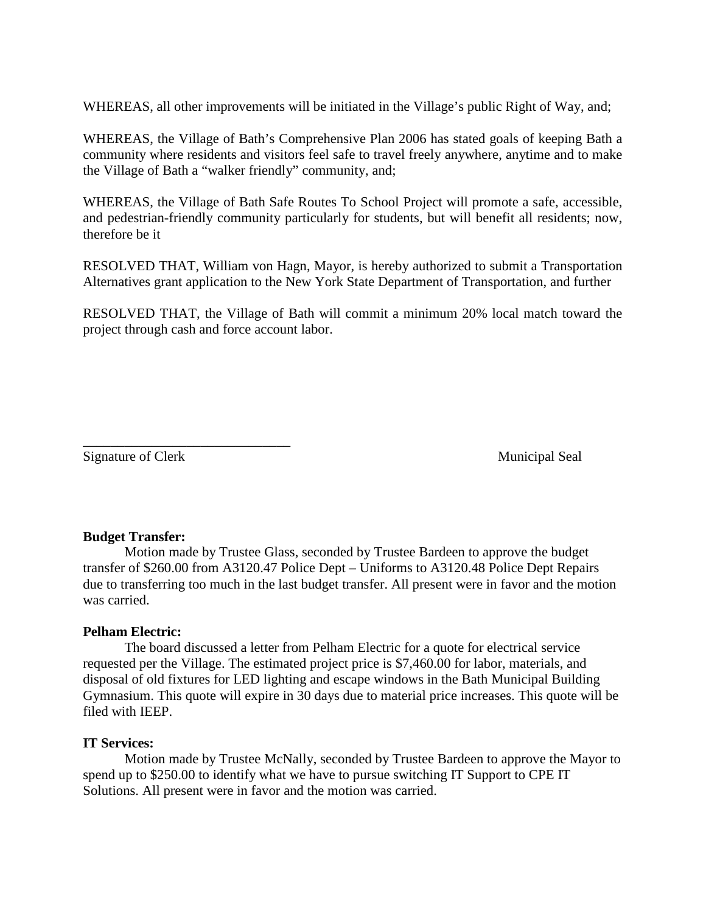WHEREAS, all other improvements will be initiated in the Village's public Right of Way, and;

WHEREAS, the Village of Bath's Comprehensive Plan 2006 has stated goals of keeping Bath a community where residents and visitors feel safe to travel freely anywhere, anytime and to make the Village of Bath a "walker friendly" community, and;

WHEREAS, the Village of Bath Safe Routes To School Project will promote a safe, accessible, and pedestrian-friendly community particularly for students, but will benefit all residents; now, therefore be it

RESOLVED THAT, William von Hagn, Mayor, is hereby authorized to submit a Transportation Alternatives grant application to the New York State Department of Transportation, and further

RESOLVED THAT, the Village of Bath will commit a minimum 20% local match toward the project through cash and force account labor.

Signature of Clerk Municipal Seal

\_\_\_\_\_\_\_\_\_\_\_\_\_\_\_\_\_\_\_\_\_\_\_\_\_\_\_\_\_\_

### **Budget Transfer:**

 Motion made by Trustee Glass, seconded by Trustee Bardeen to approve the budget transfer of \$260.00 from A3120.47 Police Dept – Uniforms to A3120.48 Police Dept Repairs due to transferring too much in the last budget transfer. All present were in favor and the motion was carried.

### **Pelham Electric:**

The board discussed a letter from Pelham Electric for a quote for electrical service requested per the Village. The estimated project price is \$7,460.00 for labor, materials, and disposal of old fixtures for LED lighting and escape windows in the Bath Municipal Building Gymnasium. This quote will expire in 30 days due to material price increases. This quote will be filed with IEEP.

### **IT Services:**

 Motion made by Trustee McNally, seconded by Trustee Bardeen to approve the Mayor to spend up to \$250.00 to identify what we have to pursue switching IT Support to CPE IT Solutions. All present were in favor and the motion was carried.